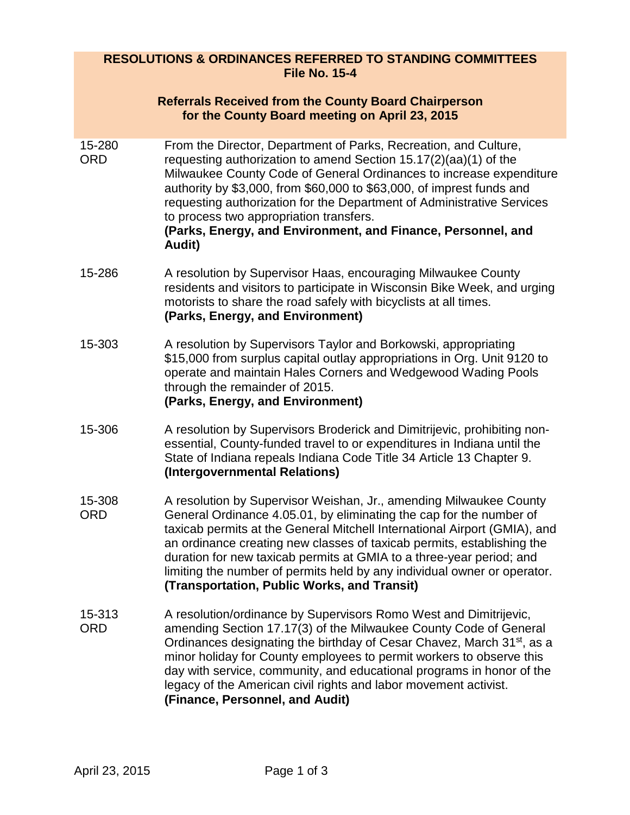# **RESOLUTIONS & ORDINANCES REFERRED TO STANDING COMMITTEES File No. 15-4**

|                      | <b>Referrals Received from the County Board Chairperson</b><br>for the County Board meeting on April 23, 2015                                                                                                                                                                                                                                                                                                                                                                                       |
|----------------------|-----------------------------------------------------------------------------------------------------------------------------------------------------------------------------------------------------------------------------------------------------------------------------------------------------------------------------------------------------------------------------------------------------------------------------------------------------------------------------------------------------|
| 15-280<br><b>ORD</b> | From the Director, Department of Parks, Recreation, and Culture,<br>requesting authorization to amend Section 15.17(2)(aa)(1) of the<br>Milwaukee County Code of General Ordinances to increase expenditure<br>authority by \$3,000, from \$60,000 to \$63,000, of imprest funds and<br>requesting authorization for the Department of Administrative Services<br>to process two appropriation transfers.<br>(Parks, Energy, and Environment, and Finance, Personnel, and<br>Audit)                 |
| 15-286               | A resolution by Supervisor Haas, encouraging Milwaukee County<br>residents and visitors to participate in Wisconsin Bike Week, and urging<br>motorists to share the road safely with bicyclists at all times.<br>(Parks, Energy, and Environment)                                                                                                                                                                                                                                                   |
| 15-303               | A resolution by Supervisors Taylor and Borkowski, appropriating<br>\$15,000 from surplus capital outlay appropriations in Org. Unit 9120 to<br>operate and maintain Hales Corners and Wedgewood Wading Pools<br>through the remainder of 2015.<br>(Parks, Energy, and Environment)                                                                                                                                                                                                                  |
| 15-306               | A resolution by Supervisors Broderick and Dimitrijevic, prohibiting non-<br>essential, County-funded travel to or expenditures in Indiana until the<br>State of Indiana repeals Indiana Code Title 34 Article 13 Chapter 9.<br>(Intergovernmental Relations)                                                                                                                                                                                                                                        |
| 15-308<br><b>ORD</b> | A resolution by Supervisor Weishan, Jr., amending Milwaukee County<br>General Ordinance 4.05.01, by eliminating the cap for the number of<br>taxicab permits at the General Mitchell International Airport (GMIA), and<br>an ordinance creating new classes of taxicab permits, establishing the<br>duration for new taxicab permits at GMIA to a three-year period; and<br>limiting the number of permits held by any individual owner or operator.<br>(Transportation, Public Works, and Transit) |
| 15-313<br><b>ORD</b> | A resolution/ordinance by Supervisors Romo West and Dimitrijevic,<br>amending Section 17.17(3) of the Milwaukee County Code of General<br>Ordinances designating the birthday of Cesar Chavez, March 31 <sup>st</sup> , as a<br>minor holiday for County employees to permit workers to observe this<br>day with service, community, and educational programs in honor of the<br>legacy of the American civil rights and labor movement activist.<br>(Finance, Personnel, and Audit)                |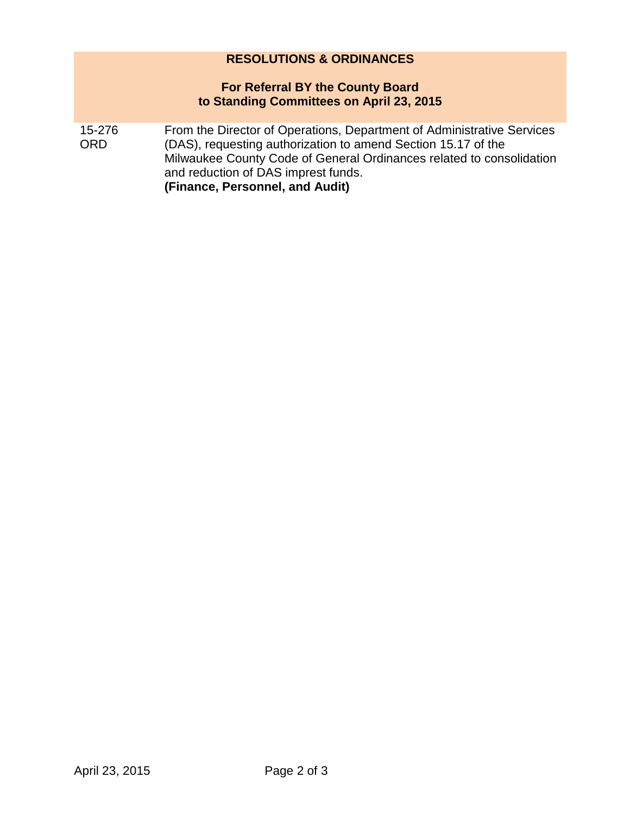# **RESOLUTIONS & ORDINANCES**

### **For Referral BY the County Board to Standing Committees on April 23, 2015**

15-276 ORD From the Director of Operations, Department of Administrative Services (DAS), requesting authorization to amend Section 15.17 of the Milwaukee County Code of General Ordinances related to consolidation and reduction of DAS imprest funds. **(Finance, Personnel, and Audit)**